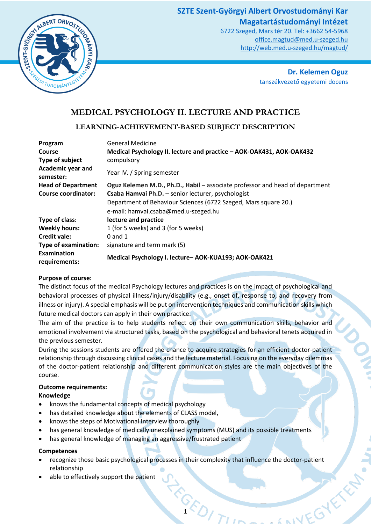# **SZTE Szent-Györgyi Albert Orvostudományi Kar Magatartástudományi Intézet**





**Dr. Kelemen Oguz** tanszékvezető egyetemi docens

AIVEGYE KEN

# **MEDICAL PSYCHOLOGY II. LECTURE AND PRACTICE**

# **LEARNING-ACHIEVEMENT-BASED SUBJECT DESCRIPTION**

| Program                               | <b>General Medicine</b>                                                      |
|---------------------------------------|------------------------------------------------------------------------------|
| Course                                | Medical Psychology II. lecture and practice - AOK-OAK431, AOK-OAK432         |
| Type of subject                       | compulsory                                                                   |
| <b>Academic year and</b><br>semester: | Year IV. / Spring semester                                                   |
| <b>Head of Department</b>             | Oguz Kelemen M.D., Ph.D., Habil – associate professor and head of department |
| <b>Course coordinator:</b>            | Csaba Hamvai Ph.D. - senior lecturer, psychologist                           |
|                                       | Department of Behaviour Sciences (6722 Szeged, Mars square 20.)              |
|                                       | e-mail: hamvai.csaba@med.u-szeged.hu                                         |
| Type of class:                        | lecture and practice                                                         |
| <b>Weekly hours:</b>                  | 1 (for 5 weeks) and 3 (for 5 weeks)                                          |
| <b>Credit vale:</b>                   | $0$ and $1$                                                                  |
| <b>Type of examination:</b>           | signature and term mark (5)                                                  |
| Examination<br>requirements:          | Medical Psychology I. lecture-AOK-KUA193; AOK-OAK421                         |

# **Purpose of course:**

The distinct focus of the medical Psychology lectures and practices is on the impact of psychological and behavioral processes of physical illness/injury/disability (e.g., onset of, response to, and recovery from illness or injury). A special emphasis will be put on intervention techniques and communication skills which future medical doctors can apply in their own practice.

The aim of the practice is to help students reflect on their own communication skills, behavior and emotional involvement via structured tasks, based on the psychological and behavioral tenets acquired in the previous semester.

During the sessions students are offered the chance to acquire strategies for an efficient doctor-patient relationship through discussing clinical cases and the lecture material. Focusing on the everyday dilemmas of the doctor-patient relationship and different communication styles are the main objectives of the course.

# **Outcome requirements:**

- **Knowledge**
- knows the fundamental concepts of medical psychology
- has detailed knowledge about the elements of CLASS model,
- knows the steps of Motivational Interview thoroughly
- has general knowledge of medically unexplained symptoms (MUS) and its possible treatments
- has general knowledge of managing an aggressive/frustrated patient

# **Competences**

• recognize those basic psychological processes in their complexity that influence the doctor-patient relationship

**ARDITII** 

able to effectively support the patient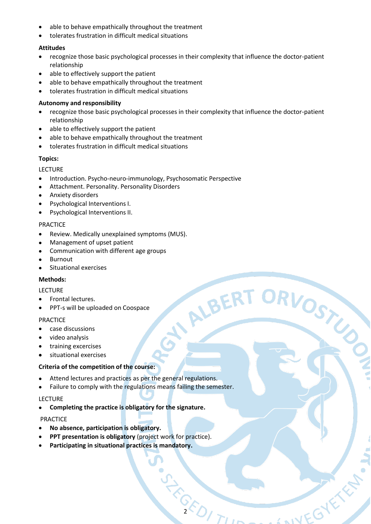- able to behave empathically throughout the treatment
- tolerates frustration in difficult medical situations

#### **Attitudes**

- recognize those basic psychological processes in their complexity that influence the doctor-patient relationship
- able to effectively support the patient
- able to behave empathically throughout the treatment
- tolerates frustration in difficult medical situations

# **Autonomy and responsibility**

• recognize those basic psychological processes in their complexity that influence the doctor-patient relationship

NALBERT ORVOSTUS

AINEGYE A

- able to effectively support the patient
- able to behave empathically throughout the treatment
- tolerates frustration in difficult medical situations

# **Topics:**

LECTURE

- Introduction. Psycho-neuro-immunology, Psychosomatic Perspective
- Attachment. Personality. Personality Disorders
- Anxiety disorders
- Psychological Interventions I.
- Psychological Interventions II.

#### PRACTICE

- Review. Medically unexplained symptoms (MUS).
- Management of upset patient
- Communication with different age groups
- Burnout
- Situational exercises

#### **Methods:**

#### LECTURE

- Frontal lectures.
- PPT-s will be uploaded on Coospace

#### PRACTICE

- case discussions
- video analysis
- training excercises
- situational exercises

#### **Criteria of the competition of the course:**

- Attend lectures and practices as per the general regulations.
- Failure to comply with the regulations means failing the semester.

#### LECTURE

• **Completing the practice is obligatory for the signature.**

# PRACTICE

- **No absence, participation is obligatory.**
- **PPT presentation is obligatory** (project work for practice).
- 23-25-1-1-1 • **Participating in situational practices is mandatory.**